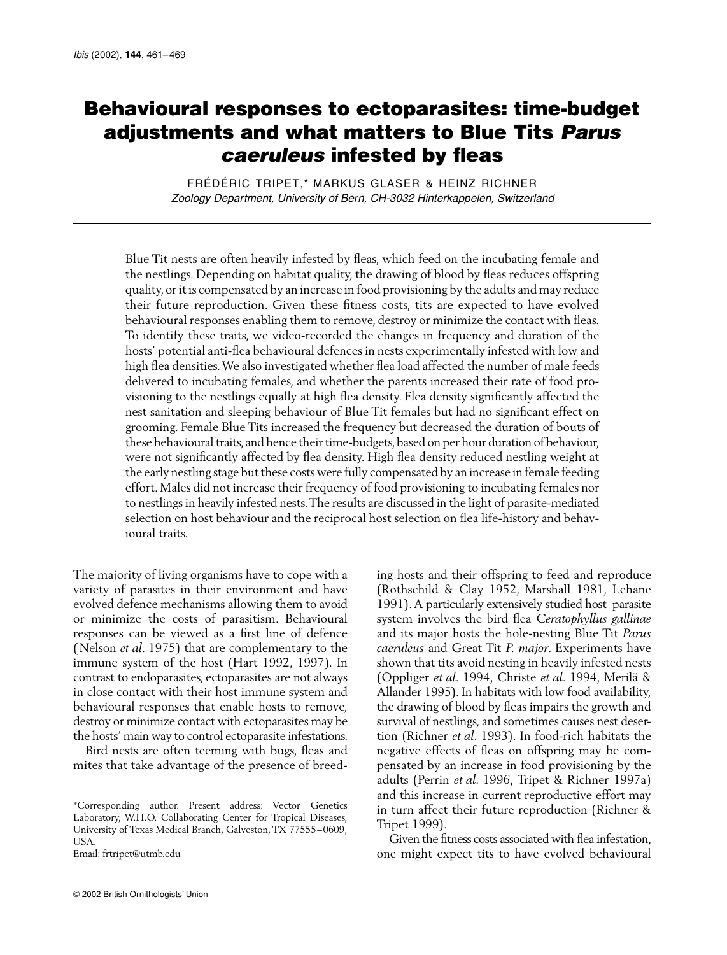# **Behavioural responses to ectoparasites: time-budget adjustments and what matters to Blue Tits** *Parus caeruleus* **infested by fleas**

FRÉDÉRIC TRIPET,\* MARKUS GLASER & HEINZ RICHNER *Zoology Department, University of Bern, CH-3032 Hinterkappelen, Switzerland*

Blue Tit nests are often heavily infested by fleas, which feed on the incubating female and the nestlings. Depending on habitat quality, the drawing of blood by fleas reduces offspring quality, or it is compensated by an increase in food provisioning by the adults and may reduce their future reproduction. Given these fitness costs, tits are expected to have evolved behavioural responses enabling them to remove, destroy or minimize the contact with fleas. To identify these traits, we video-recorded the changes in frequency and duration of the hosts' potential anti-flea behavioural defences in nests experimentally infested with low and high flea densities. We also investigated whether flea load affected the number of male feeds delivered to incubating females, and whether the parents increased their rate of food provisioning to the nestlings equally at high flea density. Flea density significantly affected the nest sanitation and sleeping behaviour of Blue Tit females but had no significant effect on grooming. Female Blue Tits increased the frequency but decreased the duration of bouts of these behavioural traits, and hence their time-budgets, based on per hour duration of behaviour, were not significantly affected by flea density. High flea density reduced nestling weight at the early nestling stage but these costs were fully compensated by an increase in female feeding effort. Males did not increase their frequency of food provisioning to incubating females nor to nestlings in heavily infested nests. The results are discussed in the light of parasite-mediated selection on host behaviour and the reciprocal host selection on flea life-history and behavioural traits.

The majority of living organisms have to cope with a variety of parasites in their environment and have evolved defence mechanisms allowing them to avoid or minimize the costs of parasitism. Behavioural responses can be viewed as a first line of defence (Nelson *et al*. 1975) that are complementary to the immune system of the host (Hart 1992, 1997). In contrast to endoparasites, ectoparasites are not always in close contact with their host immune system and behavioural responses that enable hosts to remove, destroy or minimize contact with ectoparasites may be the hosts' main way to control ectoparasite infestations.

Bird nests are often teeming with bugs, fleas and mites that take advantage of the presence of breed-

Email: frtripet@utmb.edu

ing hosts and their offspring to feed and reproduce (Rothschild & Clay 1952, Marshall 1981, Lehane 1991). A particularly extensively studied host–parasite system involves the bird flea *Ceratophyllus gallinae* and its major hosts the hole-nesting Blue Tit *Parus caeruleus* and Great Tit *P. major*. Experiments have shown that tits avoid nesting in heavily infested nests (Oppliger *et al*. 1994, Christe *et al*. 1994, Merilä & Allander 1995). In habitats with low food availability, the drawing of blood by fleas impairs the growth and survival of nestlings, and sometimes causes nest desertion (Richner *et al*. 1993). In food-rich habitats the negative effects of fleas on offspring may be compensated by an increase in food provisioning by the adults (Perrin *et al*. 1996, Tripet & Richner 1997a) and this increase in current reproductive effort may in turn affect their future reproduction (Richner & Tripet 1999).

Given the fitness costs associated with flea infestation, one might expect tits to have evolved behavioural

<sup>\*</sup>Corresponding author. Present address: Vector Genetics Laboratory, W.H.O. Collaborating Center for Tropical Diseases, University of Texas Medical Branch, Galveston, TX 77555–0609, USA.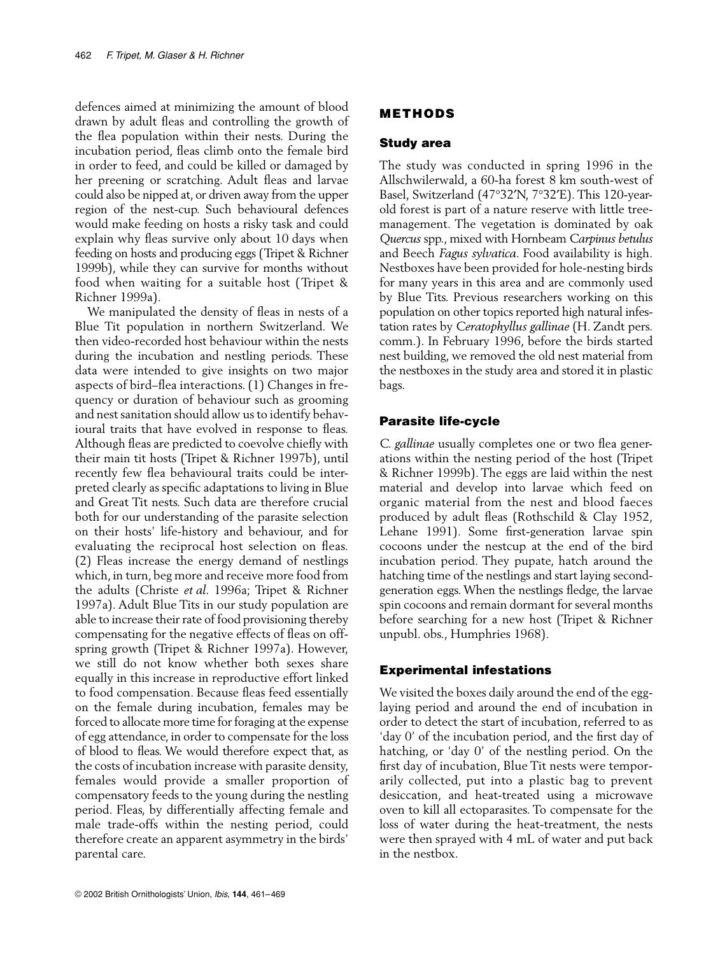defences aimed at minimizing the amount of blood drawn by adult fleas and controlling the growth of the flea population within their nests. During the incubation period, fleas climb onto the female bird in order to feed, and could be killed or damaged by her preening or scratching. Adult fleas and larvae could also be nipped at, or driven away from the upper region of the nest-cup. Such behavioural defences would make feeding on hosts a risky task and could explain why fleas survive only about 10 days when feeding on hosts and producing eggs (Tripet & Richner 1999b), while they can survive for months without food when waiting for a suitable host (Tripet & Richner 1999a).

We manipulated the density of fleas in nests of a Blue Tit population in northern Switzerland. We then video-recorded host behaviour within the nests during the incubation and nestling periods. These data were intended to give insights on two major aspects of bird–flea interactions. (1) Changes in frequency or duration of behaviour such as grooming and nest sanitation should allow us to identify behavioural traits that have evolved in response to fleas. Although fleas are predicted to coevolve chiefly with their main tit hosts (Tripet & Richner 1997b), until recently few flea behavioural traits could be interpreted clearly as specific adaptations to living in Blue and Great Tit nests. Such data are therefore crucial both for our understanding of the parasite selection on their hosts' life-history and behaviour, and for evaluating the reciprocal host selection on fleas. (2) Fleas increase the energy demand of nestlings which, in turn, beg more and receive more food from the adults (Christe *et al*. 1996a; Tripet & Richner 1997a). Adult Blue Tits in our study population are able to increase their rate of food provisioning thereby compensating for the negative effects of fleas on offspring growth (Tripet & Richner 1997a). However, we still do not know whether both sexes share equally in this increase in reproductive effort linked to food compensation. Because fleas feed essentially on the female during incubation, females may be forced to allocate more time for foraging at the expense of egg attendance, in order to compensate for the loss of blood to fleas. We would therefore expect that, as the costs of incubation increase with parasite density, females would provide a smaller proportion of compensatory feeds to the young during the nestling period. Fleas, by differentially affecting female and male trade-offs within the nesting period, could therefore create an apparent asymmetry in the birds' parental care.

## **METHODS**

#### **Study area**

The study was conducted in spring 1996 in the Allschwilerwald, a 60-ha forest 8 km south-west of Basel, Switzerland (47°32′N, 7°32′E). This 120-yearold forest is part of a nature reserve with little treemanagement. The vegetation is dominated by oak *Quercus* spp., mixed with Hornbeam *Carpinus betulus* and Beech *Fagus sylvatica*. Food availability is high. Nestboxes have been provided for hole-nesting birds for many years in this area and are commonly used by Blue Tits. Previous researchers working on this population on other topics reported high natural infestation rates by *Ceratophyllus gallinae* (H. Zandt pers. comm.). In February 1996, before the birds started nest building, we removed the old nest material from the nestboxes in the study area and stored it in plastic bags.

#### **Parasite life-cycle**

*C. gallinae* usually completes one or two flea generations within the nesting period of the host (Tripet & Richner 1999b). The eggs are laid within the nest material and develop into larvae which feed on organic material from the nest and blood faeces produced by adult fleas (Rothschild & Clay 1952, Lehane 1991). Some first-generation larvae spin cocoons under the nestcup at the end of the bird incubation period. They pupate, hatch around the hatching time of the nestlings and start laying secondgeneration eggs. When the nestlings fledge, the larvae spin cocoons and remain dormant for several months before searching for a new host (Tripet & Richner unpubl. obs., Humphries 1968).

#### **Experimental infestations**

We visited the boxes daily around the end of the egglaying period and around the end of incubation in order to detect the start of incubation, referred to as 'day 0' of the incubation period, and the first day of hatching, or 'day 0' of the nestling period. On the first day of incubation, Blue Tit nests were temporarily collected, put into a plastic bag to prevent desiccation, and heat-treated using a microwave oven to kill all ectoparasites. To compensate for the loss of water during the heat-treatment, the nests were then sprayed with 4 mL of water and put back in the nestbox.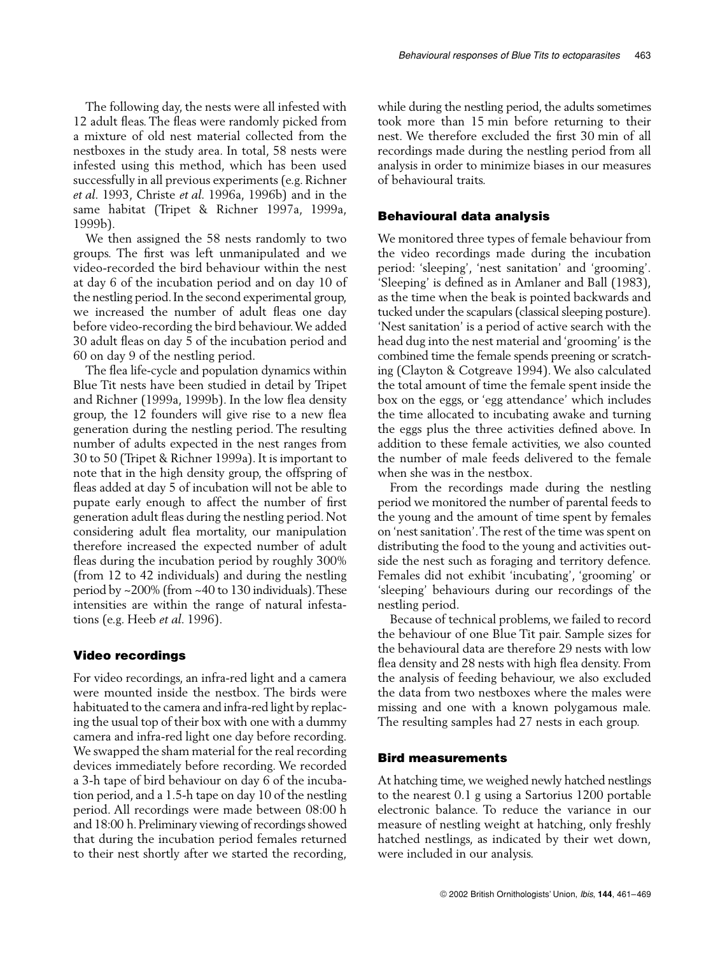The following day, the nests were all infested with 12 adult fleas. The fleas were randomly picked from a mixture of old nest material collected from the nestboxes in the study area. In total, 58 nests were infested using this method, which has been used successfully in all previous experiments (e.g. Richner *et al*. 1993, Christe *et al*. 1996a, 1996b) and in the same habitat (Tripet & Richner 1997a, 1999a, 1999b).

We then assigned the 58 nests randomly to two groups. The first was left unmanipulated and we video-recorded the bird behaviour within the nest at day 6 of the incubation period and on day 10 of the nestling period. In the second experimental group, we increased the number of adult fleas one day before video-recording the bird behaviour. We added 30 adult fleas on day 5 of the incubation period and 60 on day 9 of the nestling period.

The flea life-cycle and population dynamics within Blue Tit nests have been studied in detail by Tripet and Richner (1999a, 1999b). In the low flea density group, the 12 founders will give rise to a new flea generation during the nestling period. The resulting number of adults expected in the nest ranges from 30 to 50 (Tripet & Richner 1999a). It is important to note that in the high density group, the offspring of fleas added at day 5 of incubation will not be able to pupate early enough to affect the number of first generation adult fleas during the nestling period. Not considering adult flea mortality, our manipulation therefore increased the expected number of adult fleas during the incubation period by roughly 300% (from 12 to 42 individuals) and during the nestling period by ~200% (from ~40 to 130 individuals). These intensities are within the range of natural infestations (e.g. Heeb *et al*. 1996).

## **Video recordings**

For video recordings, an infra-red light and a camera were mounted inside the nestbox. The birds were habituated to the camera and infra-red light by replacing the usual top of their box with one with a dummy camera and infra-red light one day before recording. We swapped the sham material for the real recording devices immediately before recording. We recorded a 3-h tape of bird behaviour on day 6 of the incubation period, and a 1.5-h tape on day 10 of the nestling period. All recordings were made between 08:00 h and 18:00 h. Preliminary viewing of recordings showed that during the incubation period females returned to their nest shortly after we started the recording,

while during the nestling period, the adults sometimes took more than 15 min before returning to their nest. We therefore excluded the first 30 min of all recordings made during the nestling period from all analysis in order to minimize biases in our measures of behavioural traits.

#### **Behavioural data analysis**

We monitored three types of female behaviour from the video recordings made during the incubation period: 'sleeping', 'nest sanitation' and 'grooming'. 'Sleeping' is defined as in Amlaner and Ball (1983), as the time when the beak is pointed backwards and tucked under the scapulars (classical sleeping posture). 'Nest sanitation' is a period of active search with the head dug into the nest material and 'grooming' is the combined time the female spends preening or scratching (Clayton & Cotgreave 1994). We also calculated the total amount of time the female spent inside the box on the eggs, or 'egg attendance' which includes the time allocated to incubating awake and turning the eggs plus the three activities defined above. In addition to these female activities, we also counted the number of male feeds delivered to the female when she was in the nestbox.

From the recordings made during the nestling period we monitored the number of parental feeds to the young and the amount of time spent by females on 'nest sanitation'. The rest of the time was spent on distributing the food to the young and activities outside the nest such as foraging and territory defence. Females did not exhibit 'incubating', 'grooming' or 'sleeping' behaviours during our recordings of the nestling period.

Because of technical problems, we failed to record the behaviour of one Blue Tit pair. Sample sizes for the behavioural data are therefore 29 nests with low flea density and 28 nests with high flea density. From the analysis of feeding behaviour, we also excluded the data from two nestboxes where the males were missing and one with a known polygamous male. The resulting samples had 27 nests in each group.

### **Bird measurements**

At hatching time, we weighed newly hatched nestlings to the nearest 0.1 g using a Sartorius 1200 portable electronic balance. To reduce the variance in our measure of nestling weight at hatching, only freshly hatched nestlings, as indicated by their wet down, were included in our analysis.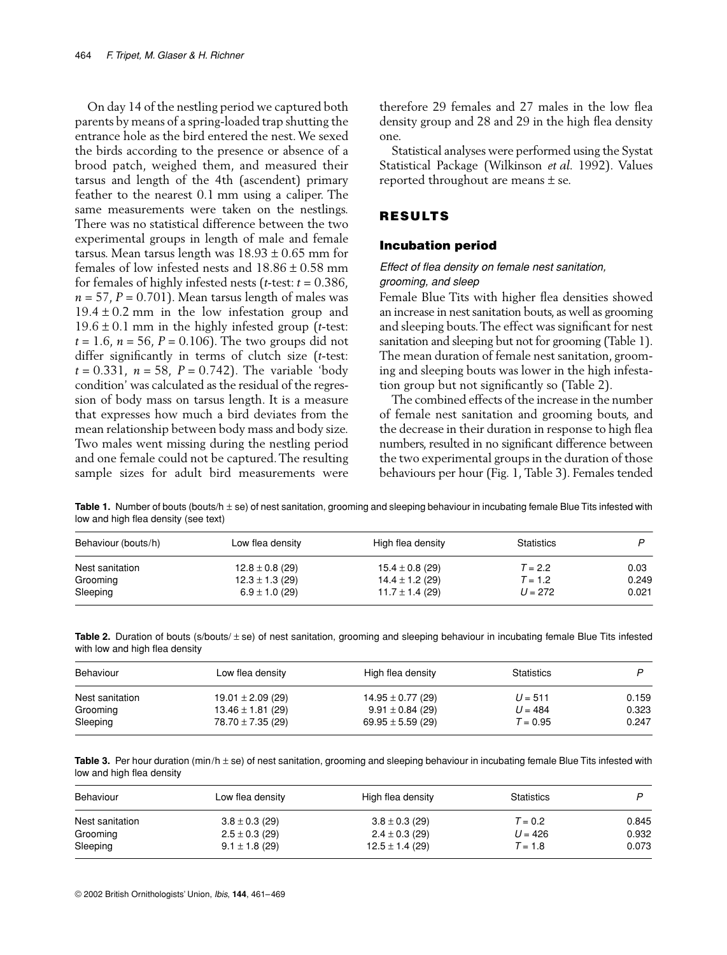On day 14 of the nestling period we captured both parents by means of a spring-loaded trap shutting the entrance hole as the bird entered the nest. We sexed the birds according to the presence or absence of a brood patch, weighed them, and measured their tarsus and length of the 4th (ascendent) primary feather to the nearest 0.1 mm using a caliper. The same measurements were taken on the nestlings. There was no statistical difference between the two experimental groups in length of male and female tarsus. Mean tarsus length was  $18.93 \pm 0.65$  mm for females of low infested nests and  $18.86 \pm 0.58$  mm for females of highly infested nests (*t*-test: *t* = 0.386,  $n = 57$ ,  $P = 0.701$ ). Mean tarsus length of males was  $19.4 \pm 0.2$  mm in the low infestation group and 19.6 ± 0.1 mm in the highly infested group (*t*-test:  $t = 1.6$ ,  $n = 56$ ,  $P = 0.106$ ). The two groups did not differ significantly in terms of clutch size (*t*-test:  $t = 0.331$ ,  $n = 58$ ,  $P = 0.742$ ). The variable 'body condition' was calculated as the residual of the regression of body mass on tarsus length. It is a measure that expresses how much a bird deviates from the mean relationship between body mass and body size. Two males went missing during the nestling period and one female could not be captured. The resulting sample sizes for adult bird measurements were

therefore 29 females and 27 males in the low flea density group and 28 and 29 in the high flea density one.

Statistical analyses were performed using the Systat Statistical Package (Wilkinson *et al*. 1992). Values reported throughout are means ± se.

### **RESULTS**

## **Incubation period**

### *Effect of flea density on female nest sanitation, grooming, and sleep*

Female Blue Tits with higher flea densities showed an increase in nest sanitation bouts, as well as grooming and sleeping bouts. The effect was significant for nest sanitation and sleeping but not for grooming (Table 1). The mean duration of female nest sanitation, grooming and sleeping bouts was lower in the high infestation group but not significantly so (Table 2).

The combined effects of the increase in the number of female nest sanitation and grooming bouts, and the decrease in their duration in response to high flea numbers, resulted in no significant difference between the two experimental groups in the duration of those behaviours per hour (Fig. 1, Table 3). Females tended

Table 1. Number of bouts (bouts/h  $\pm$  se) of nest sanitation, grooming and sleeping behaviour in incubating female Blue Tits infested with low and high flea density (see text)

| Behaviour (bouts/h) | Low flea density    | High flea density   | <b>Statistics</b> | D     |
|---------------------|---------------------|---------------------|-------------------|-------|
| Nest sanitation     | $12.8 \pm 0.8$ (29) | $15.4 \pm 0.8$ (29) | $T = 2.2$         | 0.03  |
| Grooming            | $12.3 \pm 1.3$ (29) | $14.4 \pm 1.2$ (29) | $T = 1.2$         | 0.249 |
| Sleeping            | $6.9 \pm 1.0$ (29)  | $11.7 \pm 1.4$ (29) | $U = 272$         | 0.021 |

Table 2. Duration of bouts (s/bouts/ $\pm$  se) of nest sanitation, grooming and sleeping behaviour in incubating female Blue Tits infested with low and high flea density

| Behaviour       | Low flea density      | High flea density     | Statistics |       |
|-----------------|-----------------------|-----------------------|------------|-------|
| Nest sanitation | $19.01 \pm 2.09$ (29) | $14.95 \pm 0.77$ (29) | $U = 511$  | 0.159 |
| Grooming        | $13.46 \pm 1.81$ (29) | $9.91 \pm 0.84$ (29)  | $U = 484$  | 0.323 |
| Sleeping        | $78.70 \pm 7.35$ (29) | $69.95 \pm 5.59$ (29) | $T = 0.95$ | 0.247 |

Table 3. Per hour duration (min/h ± se) of nest sanitation, grooming and sleeping behaviour in incubating female Blue Tits infested with low and high flea density

| Behaviour       | Low flea density   | High flea density   | Statistics |       |
|-----------------|--------------------|---------------------|------------|-------|
| Nest sanitation | $3.8 \pm 0.3$ (29) | $3.8 \pm 0.3$ (29)  | $T = 0.2$  | 0.845 |
| Grooming        | $2.5 \pm 0.3$ (29) | $2.4 \pm 0.3$ (29)  | $U = 426$  | 0.932 |
| Sleeping        | $9.1 \pm 1.8$ (29) | $12.5 \pm 1.4$ (29) | $T = 1.8$  | 0.073 |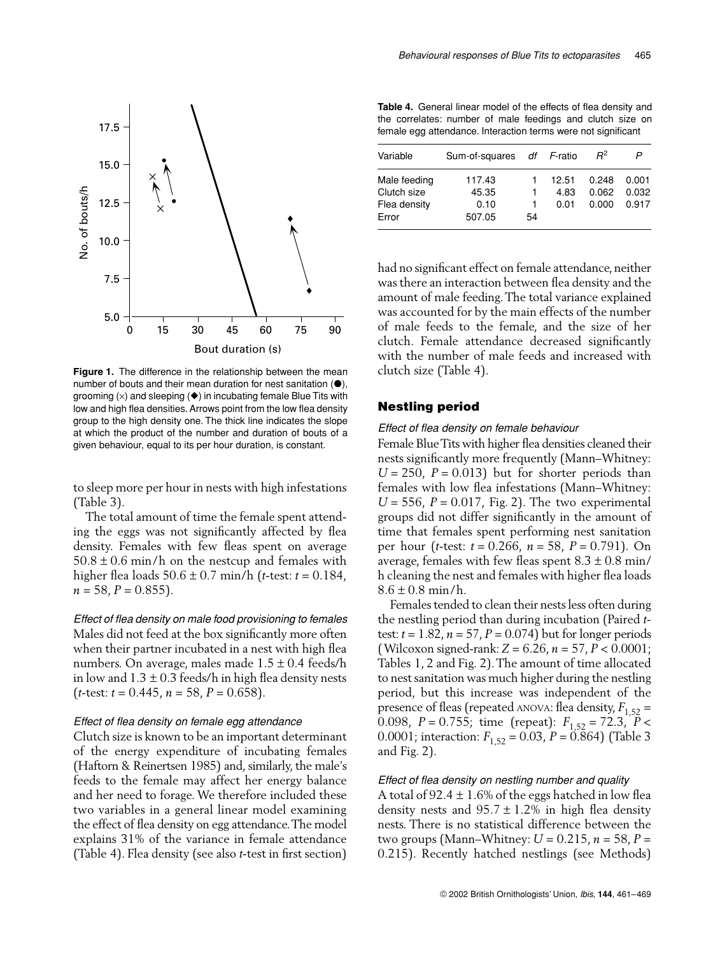

**Figure 1.** The difference in the relationship between the mean number of bouts and their mean duration for nest sanitation  $( \bullet ) ,$ grooming  $(x)$  and sleeping  $(\blacklozenge)$  in incubating female Blue Tits with low and high flea densities. Arrows point from the low flea density group to the high density one. The thick line indicates the slope at which the product of the number and duration of bouts of a given behaviour, equal to its per hour duration, is constant.

to sleep more per hour in nests with high infestations (Table 3).

The total amount of time the female spent attending the eggs was not significantly affected by flea density. Females with few fleas spent on average  $50.8 \pm 0.6$  min/h on the nestcup and females with higher flea loads 50.6 ± 0.7 min/h (*t*-test: *t* = 0.184,  $n = 58$ ,  $P = 0.855$ ).

*Effect of flea density on male food provisioning to females* Males did not feed at the box significantly more often when their partner incubated in a nest with high flea numbers. On average, males made 1.5 ± 0.4 feeds/h in low and  $1.3 \pm 0.3$  feeds/h in high flea density nests  $(t$ -test:  $t = 0.445$ ,  $n = 58$ ,  $P = 0.658$ ).

#### *Effect of flea density on female egg attendance*

Clutch size is known to be an important determinant of the energy expenditure of incubating females (Haftorn & Reinertsen 1985) and, similarly, the male's feeds to the female may affect her energy balance and her need to forage. We therefore included these two variables in a general linear model examining the effect of flea density on egg attendance. The model explains 31% of the variance in female attendance (Table 4). Flea density (see also *t*-test in first section)

**Table 4.** General linear model of the effects of flea density and the correlates: number of male feedings and clutch size on female egg attendance. Interaction terms were not significant

| Variable                                             | Sum-of-squares                    |         | df F-ratio            | $R^2$                   | D                       |
|------------------------------------------------------|-----------------------------------|---------|-----------------------|-------------------------|-------------------------|
| Male feeding<br>Clutch size<br>Flea density<br>Error | 117.43<br>45.35<br>0.10<br>507.05 | 1<br>54 | 12.51<br>4.83<br>0.01 | 0.248<br>0.062<br>0.000 | 0.001<br>0.032<br>0.917 |

had no significant effect on female attendance, neither was there an interaction between flea density and the amount of male feeding. The total variance explained was accounted for by the main effects of the number of male feeds to the female, and the size of her clutch. Female attendance decreased significantly with the number of male feeds and increased with clutch size (Table 4).

#### **Nestling period**

#### *Effect of flea density on female behaviour*

Female Blue Tits with higher flea densities cleaned their nests significantly more frequently (Mann–Whitney:  $U = 250$ ,  $P = 0.013$ ) but for shorter periods than females with low flea infestations (Mann–Whitney:  $U = 556$ ,  $P = 0.017$ , Fig. 2). The two experimental groups did not differ significantly in the amount of time that females spent performing nest sanitation per hour (*t*-test: *t* = 0.266, *n* = 58, *P* = 0.791). On average, females with few fleas spent  $8.3 \pm 0.8$  min/ h cleaning the nest and females with higher flea loads  $8.6 \pm 0.8 \text{ min/h}.$ 

Females tended to clean their nests less often during the nestling period than during incubation (Paired *t*test:  $t = 1.82$ ,  $n = 57$ ,  $P = 0.074$ ) but for longer periods (Wilcoxon signed-rank: *Z* = 6.26, *n* = 57, *P* < 0.0001; Tables 1, 2 and Fig. 2). The amount of time allocated to nest sanitation was much higher during the nestling period, but this increase was independent of the presence of fleas (repeated ANOVA: flea density,  $F_{1,52}$  = 0.098, *P* = 0.755; time (repeat): *F*1,52 = 72.3, *P* < 0.0001; interaction: *F*1,52 = 0.03, *P* = 0.864) (Table 3 and Fig. 2).

#### *Effect of flea density on nestling number and quality*

A total of 92.4  $\pm$  1.6% of the eggs hatched in low flea density nests and  $95.7 \pm 1.2\%$  in high flea density nests. There is no statistical difference between the two groups (Mann–Whitney:  $U = 0.215$ ,  $n = 58$ ,  $P =$ 0.215). Recently hatched nestlings (see Methods)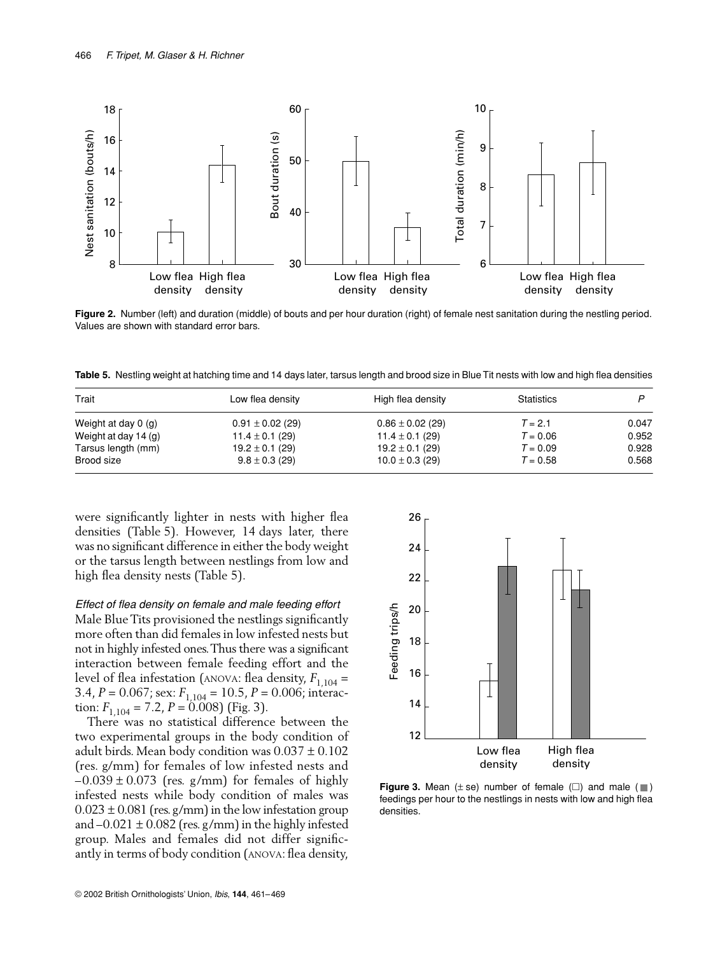

**Figure 2.** Number (left) and duration (middle) of bouts and per hour duration (right) of female nest sanitation during the nestling period. Values are shown with standard error bars.

**Table 5.** Nestling weight at hatching time and 14 days later, tarsus length and brood size in Blue Tit nests with low and high flea densities

| Trait                  | Low flea density     | High flea density    | <b>Statistics</b> | D     |
|------------------------|----------------------|----------------------|-------------------|-------|
| Weight at day $0$ (g)  | $0.91 \pm 0.02$ (29) | $0.86 \pm 0.02$ (29) | $T = 2.1$         | 0.047 |
| Weight at day 14 $(g)$ | 11.4 $\pm$ 0.1 (29)  | 11.4 $\pm$ 0.1 (29)  | $T = 0.06$        | 0.952 |
| Tarsus length (mm)     | $19.2 \pm 0.1$ (29)  | $19.2 \pm 0.1$ (29)  | $T = 0.09$        | 0.928 |
| Brood size             | $9.8 \pm 0.3$ (29)   | $10.0 \pm 0.3$ (29)  | $T = 0.58$        | 0.568 |

were significantly lighter in nests with higher flea densities (Table 5). However, 14 days later, there was no significant difference in either the body weight or the tarsus length between nestlings from low and high flea density nests (Table 5).

*Effect of flea density on female and male feeding effort* Male Blue Tits provisioned the nestlings significantly more often than did females in low infested nests but not in highly infested ones. Thus there was a significant interaction between female feeding effort and the level of flea infestation (ANOVA: flea density,  $F_{1,104}$  = 3.4, *P* = 0.067; sex: *F*1,104 = 10.5, *P* = 0.006; interaction:  $F_{1,104} = 7.2$ ,  $P = 0.008$ ) (Fig. 3).

There was no statistical difference between the two experimental groups in the body condition of adult birds. Mean body condition was  $0.037 \pm 0.102$ (res. g/mm) for females of low infested nests and  $-0.039 \pm 0.073$  (res. g/mm) for females of highly infested nests while body condition of males was  $0.023 \pm 0.081$  (res. g/mm) in the low infestation group and  $-0.021 \pm 0.082$  (res. g/mm) in the highly infested group. Males and females did not differ significantly in terms of body condition (ANOVA: flea density,



**Figure 3.** Mean  $(\pm$  se) number of female  $(\square)$  and male  $(\square)$ feedings per hour to the nestlings in nests with low and high flea densities.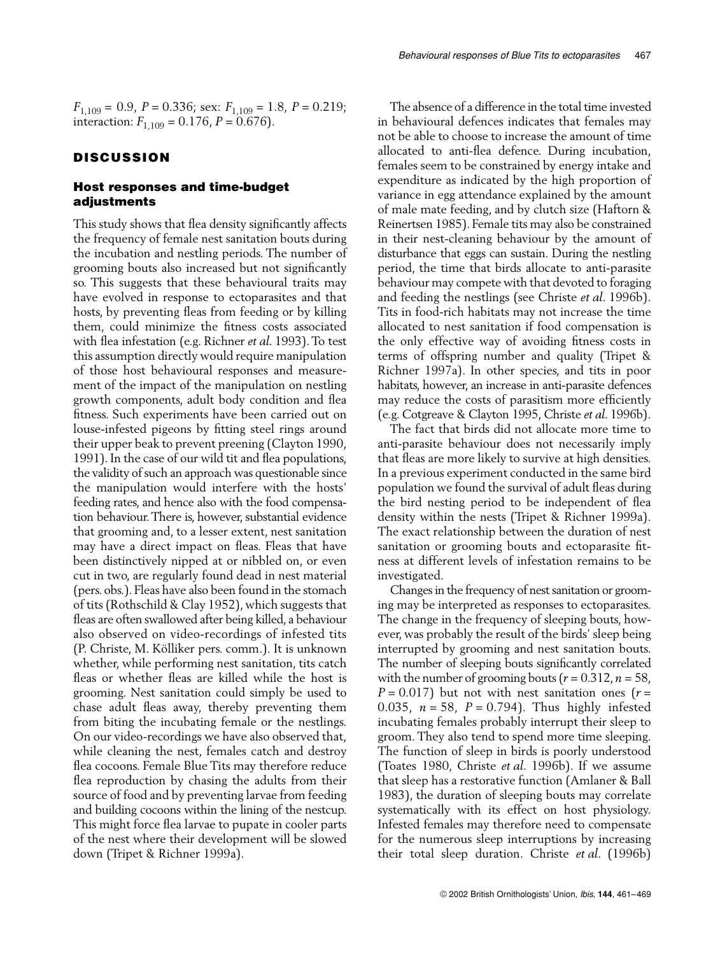*F*1,109 = 0.9, *P* = 0.336; sex: *F*1,109 = 1.8, *P* = 0.219; interaction: *F*1,109 = 0.176, *P* = 0.676).

## **DISCUSSION**

## **Host responses and time-budget adjustments**

This study shows that flea density significantly affects the frequency of female nest sanitation bouts during the incubation and nestling periods. The number of grooming bouts also increased but not significantly so. This suggests that these behavioural traits may have evolved in response to ectoparasites and that hosts, by preventing fleas from feeding or by killing them, could minimize the fitness costs associated with flea infestation (e.g. Richner *et al*. 1993). To test this assumption directly would require manipulation of those host behavioural responses and measurement of the impact of the manipulation on nestling growth components, adult body condition and flea fitness. Such experiments have been carried out on louse-infested pigeons by fitting steel rings around their upper beak to prevent preening (Clayton 1990, 1991). In the case of our wild tit and flea populations, the validity of such an approach was questionable since the manipulation would interfere with the hosts' feeding rates, and hence also with the food compensation behaviour. There is, however, substantial evidence that grooming and, to a lesser extent, nest sanitation may have a direct impact on fleas. Fleas that have been distinctively nipped at or nibbled on, or even cut in two, are regularly found dead in nest material (pers. obs.). Fleas have also been found in the stomach of tits (Rothschild & Clay 1952), which suggests that fleas are often swallowed after being killed, a behaviour also observed on video-recordings of infested tits (P. Christe, M. Kölliker pers. comm.). It is unknown whether, while performing nest sanitation, tits catch fleas or whether fleas are killed while the host is grooming. Nest sanitation could simply be used to chase adult fleas away, thereby preventing them from biting the incubating female or the nestlings. On our video-recordings we have also observed that, while cleaning the nest, females catch and destroy flea cocoons. Female Blue Tits may therefore reduce flea reproduction by chasing the adults from their source of food and by preventing larvae from feeding and building cocoons within the lining of the nestcup. This might force flea larvae to pupate in cooler parts of the nest where their development will be slowed down (Tripet & Richner 1999a).

The absence of a difference in the total time invested in behavioural defences indicates that females may not be able to choose to increase the amount of time allocated to anti-flea defence. During incubation, females seem to be constrained by energy intake and expenditure as indicated by the high proportion of variance in egg attendance explained by the amount of male mate feeding, and by clutch size (Haftorn & Reinertsen 1985). Female tits may also be constrained in their nest-cleaning behaviour by the amount of disturbance that eggs can sustain. During the nestling period, the time that birds allocate to anti-parasite behaviour may compete with that devoted to foraging and feeding the nestlings (see Christe *et al*. 1996b). Tits in food-rich habitats may not increase the time allocated to nest sanitation if food compensation is the only effective way of avoiding fitness costs in terms of offspring number and quality (Tripet & Richner 1997a). In other species, and tits in poor habitats, however, an increase in anti-parasite defences may reduce the costs of parasitism more efficiently (e.g. Cotgreave & Clayton 1995, Christe *et al*. 1996b).

The fact that birds did not allocate more time to anti-parasite behaviour does not necessarily imply that fleas are more likely to survive at high densities. In a previous experiment conducted in the same bird population we found the survival of adult fleas during the bird nesting period to be independent of flea density within the nests (Tripet & Richner 1999a). The exact relationship between the duration of nest sanitation or grooming bouts and ectoparasite fitness at different levels of infestation remains to be investigated.

Changes in the frequency of nest sanitation or grooming may be interpreted as responses to ectoparasites. The change in the frequency of sleeping bouts, however, was probably the result of the birds' sleep being interrupted by grooming and nest sanitation bouts. The number of sleeping bouts significantly correlated with the number of grooming bouts  $(r = 0.312, n = 58)$ ,  $P = 0.017$ ) but not with nest sanitation ones ( $r =$ 0.035, *n* = 58, *P* = 0.794). Thus highly infested incubating females probably interrupt their sleep to groom. They also tend to spend more time sleeping. The function of sleep in birds is poorly understood (Toates 1980, Christe *et al*. 1996b). If we assume that sleep has a restorative function (Amlaner & Ball 1983), the duration of sleeping bouts may correlate systematically with its effect on host physiology. Infested females may therefore need to compensate for the numerous sleep interruptions by increasing their total sleep duration. Christe *et al*. (1996b)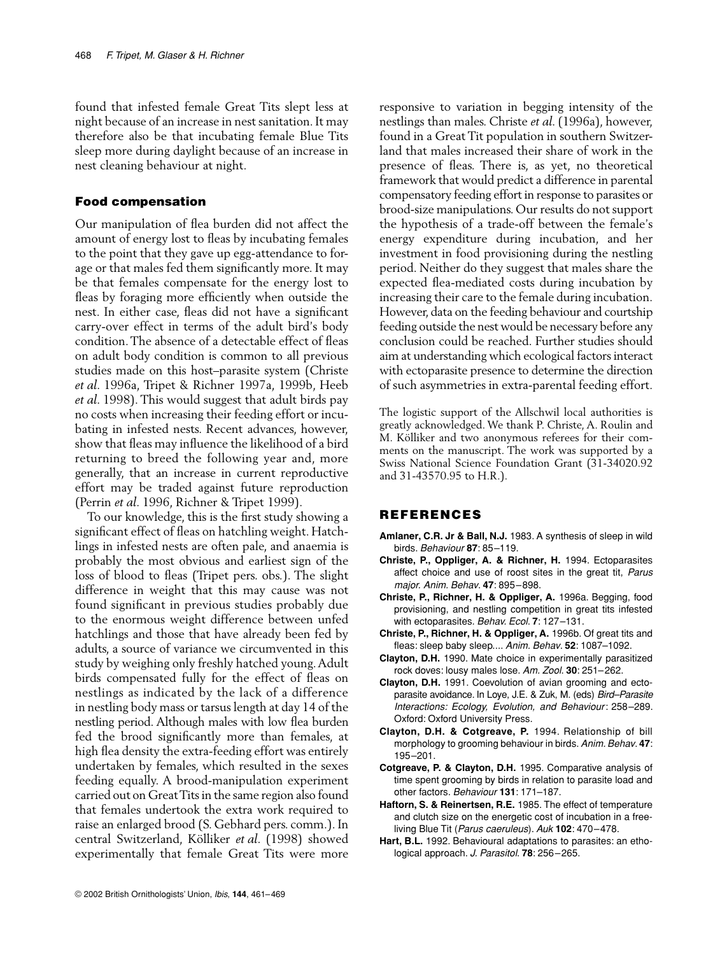found that infested female Great Tits slept less at night because of an increase in nest sanitation. It may therefore also be that incubating female Blue Tits sleep more during daylight because of an increase in nest cleaning behaviour at night.

## **Food compensation**

Our manipulation of flea burden did not affect the amount of energy lost to fleas by incubating females to the point that they gave up egg-attendance to forage or that males fed them significantly more. It may be that females compensate for the energy lost to fleas by foraging more efficiently when outside the nest. In either case, fleas did not have a significant carry-over effect in terms of the adult bird's body condition. The absence of a detectable effect of fleas on adult body condition is common to all previous studies made on this host–parasite system (Christe *et al*. 1996a, Tripet & Richner 1997a, 1999b, Heeb *et al*. 1998). This would suggest that adult birds pay no costs when increasing their feeding effort or incubating in infested nests. Recent advances, however, show that fleas may influence the likelihood of a bird returning to breed the following year and, more generally, that an increase in current reproductive effort may be traded against future reproduction (Perrin *et al*. 1996, Richner & Tripet 1999).

To our knowledge, this is the first study showing a significant effect of fleas on hatchling weight. Hatchlings in infested nests are often pale, and anaemia is probably the most obvious and earliest sign of the loss of blood to fleas (Tripet pers. obs.). The slight difference in weight that this may cause was not found significant in previous studies probably due to the enormous weight difference between unfed hatchlings and those that have already been fed by adults, a source of variance we circumvented in this study by weighing only freshly hatched young. Adult birds compensated fully for the effect of fleas on nestlings as indicated by the lack of a difference in nestling body mass or tarsus length at day 14 of the nestling period. Although males with low flea burden fed the brood significantly more than females, at high flea density the extra-feeding effort was entirely undertaken by females, which resulted in the sexes feeding equally. A brood-manipulation experiment carried out on Great Tits in the same region also found that females undertook the extra work required to raise an enlarged brood (S. Gebhard pers. comm.). In central Switzerland, Kölliker *et al*. (1998) showed experimentally that female Great Tits were more

responsive to variation in begging intensity of the nestlings than males. Christe *et al*. (1996a), however, found in a Great Tit population in southern Switzerland that males increased their share of work in the presence of fleas. There is, as yet, no theoretical framework that would predict a difference in parental compensatory feeding effort in response to parasites or brood-size manipulations. Our results do not support the hypothesis of a trade-off between the female's energy expenditure during incubation, and her investment in food provisioning during the nestling period. Neither do they suggest that males share the expected flea-mediated costs during incubation by increasing their care to the female during incubation. However, data on the feeding behaviour and courtship feeding outside the nest would be necessary before any conclusion could be reached. Further studies should aim at understanding which ecological factors interact with ectoparasite presence to determine the direction of such asymmetries in extra-parental feeding effort.

The logistic support of the Allschwil local authorities is greatly acknowledged. We thank P. Christe, A. Roulin and M. Kölliker and two anonymous referees for their comments on the manuscript. The work was supported by a Swiss National Science Foundation Grant (31-34020.92 and 31-43570.95 to H.R.).

### **REFERENCES**

- **Amlaner, C.R. Jr & Ball, N.J.** 1983. A synthesis of sleep in wild birds. *Behaviour* **87**: 85–119.
- **Christe, P., Oppliger, A. & Richner, H.** 1994. Ectoparasites affect choice and use of roost sites in the great tit, *Parus major. Anim. Behav*. **47**: 895–898.
- **Christe, P., Richner, H. & Oppliger, A.** 1996a. Begging, food provisioning, and nestling competition in great tits infested with ectoparasites. *Behav. Ecol*. **7**: 127–131.
- **Christe, P., Richner, H. & Oppliger, A.** 1996b. Of great tits and fleas: sleep baby sleep.... *Anim. Behav*. **52**: 1087–1092.
- **Clayton, D.H.** 1990. Mate choice in experimentally parasitized rock doves: lousy males lose. *Am. Zool*. **30**: 251–262.
- **Clayton, D.H.** 1991. Coevolution of avian grooming and ectoparasite avoidance. In Loye, J.E. & Zuk, M. (eds) *Bird–Parasite Interactions: Ecology, Evolution, and Behaviour*: 258–289. Oxford: Oxford University Press.
- **Clayton, D.H. & Cotgreave, P.** 1994. Relationship of bill morphology to grooming behaviour in birds. *Anim. Behav*. **47**: 195–201.
- **Cotgreave, P. & Clayton, D.H.** 1995. Comparative analysis of time spent grooming by birds in relation to parasite load and other factors. *Behaviour* **131**: 171–187.
- **Haftorn, S. & Reinertsen, R.E.** 1985. The effect of temperature and clutch size on the energetic cost of incubation in a freeliving Blue Tit (*Parus caeruleus*). *Auk* **102**: 470–478.
- **Hart, B.L.** 1992. Behavioural adaptations to parasites: an ethological approach. *J. Parasitol*. **78**: 256–265.